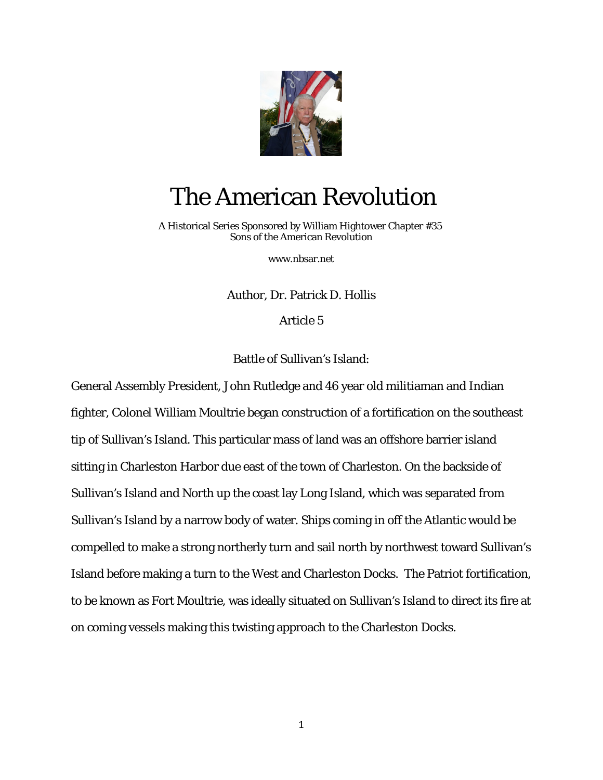

## The American Revolution

 A Historical Series Sponsored by William Hightower Chapter #35 Sons of the American Revolution

[www.nbsar.net](http://www.nbsar.net/)

Author, Dr. Patrick D. Hollis

Article 5

Battle of Sullivan's Island:

General Assembly President, John Rutledge and 46 year old militiaman and Indian fighter, Colonel William Moultrie began construction of a fortification on the southeast tip of Sullivan's Island. This particular mass of land was an offshore barrier island sitting in Charleston Harbor due east of the town of Charleston. On the backside of Sullivan's Island and North up the coast lay Long Island, which was separated from Sullivan's Island by a narrow body of water. Ships coming in off the Atlantic would be compelled to make a strong northerly turn and sail north by northwest toward Sullivan's Island before making a turn to the West and Charleston Docks. The Patriot fortification, to be known as Fort Moultrie, was ideally situated on Sullivan's Island to direct its fire at on coming vessels making this twisting approach to the Charleston Docks.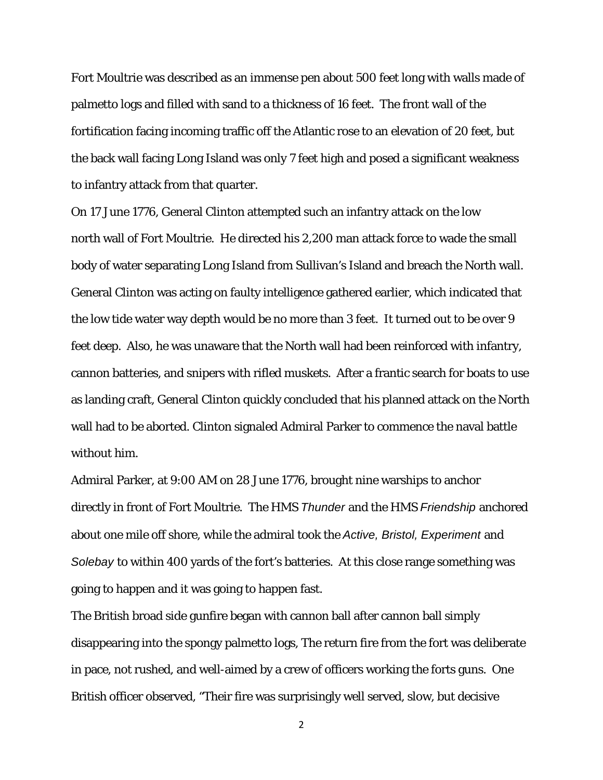Fort Moultrie was described as an immense pen about 500 feet long with walls made of palmetto logs and filled with sand to a thickness of 16 feet. The front wall of the fortification facing incoming traffic off the Atlantic rose to an elevation of 20 feet, but the back wall facing Long Island was only 7 feet high and posed a significant weakness to infantry attack from that quarter.

On 17 June 1776, General Clinton attempted such an infantry attack on the low north wall of Fort Moultrie. He directed his 2,200 man attack force to wade the small body of water separating Long Island from Sullivan's Island and breach the North wall. General Clinton was acting on faulty intelligence gathered earlier, which indicated that the low tide water way depth would be no more than 3 feet. It turned out to be over 9 feet deep. Also, he was unaware that the North wall had been reinforced with infantry, cannon batteries, and snipers with rifled muskets. After a frantic search for boats to use as landing craft, General Clinton quickly concluded that his planned attack on the North wall had to be aborted. Clinton signaled Admiral Parker to commence the naval battle without him.

Admiral Parker, at 9:00 AM on 28 June 1776, brought nine warships to anchor directly in front of Fort Moultrie. The HMS *Thunder* and the HMS *Friendship* anchored about one mile off shore, while the admiral took the *Active, Bristol, Experiment* and *Solebay* to within 400 yards of the fort's batteries. At this close range something was going to happen and it was going to happen fast.

The British broad side gunfire began with cannon ball after cannon ball simply disappearing into the spongy palmetto logs, The return fire from the fort was deliberate in pace, not rushed, and well-aimed by a crew of officers working the forts guns. One British officer observed, "Their fire was surprisingly well served, slow, but decisive

2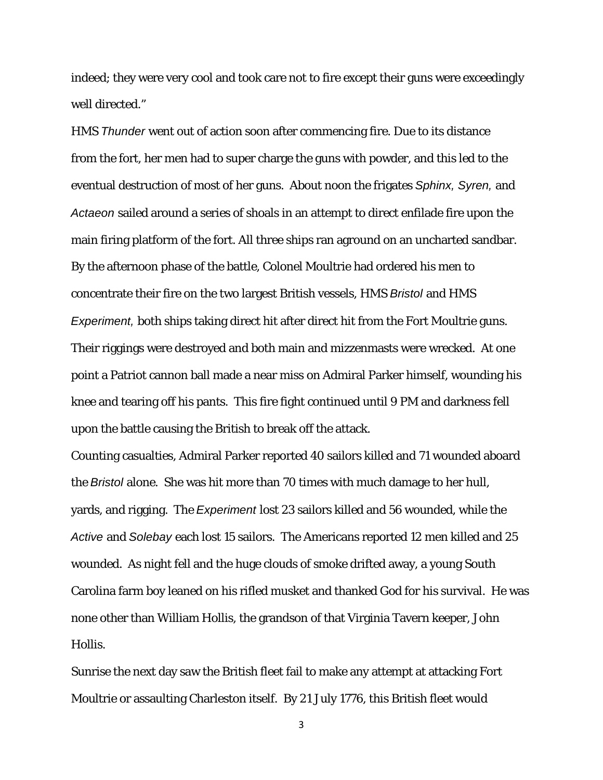indeed; they were very cool and took care not to fire except their guns were exceedingly well directed."

HMS *Thunder* went out of action soon after commencing fire. Due to its distance from the fort, her men had to super charge the guns with powder, and this led to the eventual destruction of most of her guns. About noon the frigates *Sphinx, Syren,* and *Actaeon* sailed around a series of shoals in an attempt to direct enfilade fire upon the main firing platform of the fort. All three ships ran aground on an uncharted sandbar. By the afternoon phase of the battle, Colonel Moultrie had ordered his men to concentrate their fire on the two largest British vessels, HMS *Bristol* and HMS *Experiment,* both ships taking direct hit after direct hit from the Fort Moultrie guns. Their riggings were destroyed and both main and mizzenmasts were wrecked. At one point a Patriot cannon ball made a near miss on Admiral Parker himself, wounding his knee and tearing off his pants. This fire fight continued until 9 PM and darkness fell upon the battle causing the British to break off the attack.

Counting casualties, Admiral Parker reported 40 sailors killed and 71 wounded aboard the *Bristol* alone. She was hit more than 70 times with much damage to her hull, yards, and rigging. The *Experiment* lost 23 sailors killed and 56 wounded, while the *Active* and *Solebay* each lost 15 sailors. The Americans reported 12 men killed and 25 wounded. As night fell and the huge clouds of smoke drifted away, a young South Carolina farm boy leaned on his rifled musket and thanked God for his survival. He was none other than William Hollis, the grandson of that Virginia Tavern keeper, John Hollis.

Sunrise the next day saw the British fleet fail to make any attempt at attacking Fort Moultrie or assaulting Charleston itself. By 21 July 1776, this British fleet would

3